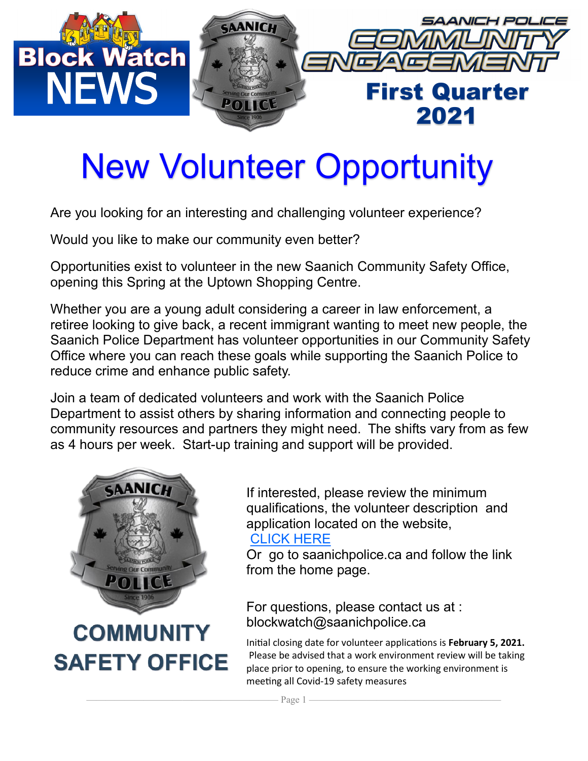

### New Volunteer Opportunity

Are you looking for an interesting and challenging volunteer experience?

Would you like to make our community even better?

Opportunities exist to volunteer in the new Saanich Community Safety Office, opening this Spring at the Uptown Shopping Centre.

Whether you are a young adult considering a career in law enforcement, a retiree looking to give back, a recent immigrant wanting to meet new people, the Saanich Police Department has volunteer opportunities in our Community Safety Office where you can reach these goals while supporting the Saanich Police to reduce crime and enhance public safety.

Join a team of dedicated volunteers and work with the Saanich Police Department to assist others by sharing information and connecting people to community resources and partners they might need. The shifts vary from as few as 4 hours per week. Start-up training and support will be provided.



**COMMUNITY SAFETY OFFICE** 

If interested, please review the minimum qualifications, the volunteer description and application located on the website,

#### [CLICK HERE](https://www.saanichpolice.ca/index.php/crime-prevention/volunteer-hall-of-fame.html)

Or go to saanichpolice.ca and follow the link from the home page.

For questions, please contact us at : blockwatch@saanichpolice.ca

Initial closing date for volunteer applications is **February 5, 2021.** Please be advised that a work environment review will be taking place prior to opening, to ensure the working environment is meeting all Covid-19 safety measures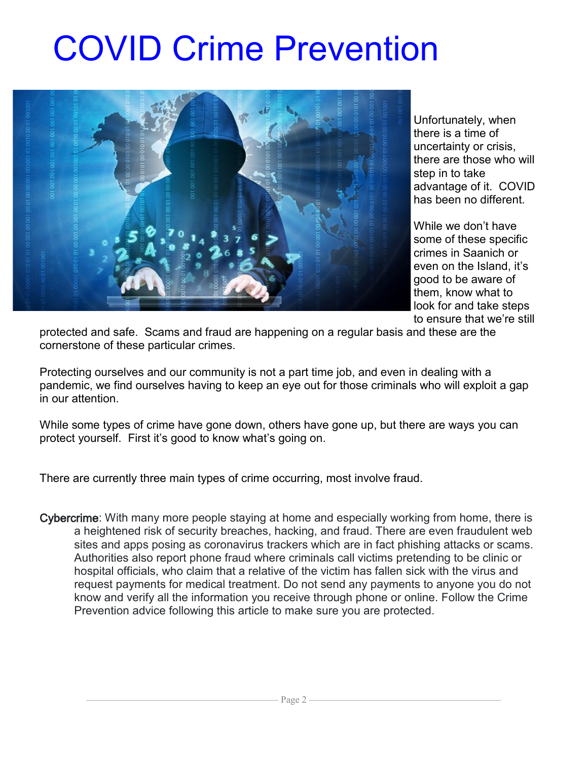# COVID Crime Prevention



Unfortunately, when there is a time of uncertainty or crisis, there are those who will step in to take advantage of it. COVID has been no different.

While we don't have some of these specific crimes in Saanich or even on the Island, it's good to be aware of them, know what to look for and take steps to ensure that we're still

protected and safe. Scams and fraud are happening on a regular basis and these are the cornerstone of these particular crimes.

Protecting ourselves and our community is not a part time job, and even in dealing with a pandemic, we find ourselves having to keep an eye out for those criminals who will exploit a gap in our attention.

While some types of crime have gone down, others have gone up, but there are ways you can protect yourself. First it's good to know what's going on.

There are currently three main types of crime occurring, most involve fraud.

Cybercrime: With many more people staying at home and especially working from home, there is a heightened risk of security breaches, hacking, and fraud. There are even fraudulent web sites and apps posing as coronavirus trackers which are in fact phishing attacks or scams. Authorities also report phone fraud where criminals call victims pretending to be clinic or hospital officials, who claim that a relative of the victim has fallen sick with the virus and request payments for medical treatment. Do not send any payments to anyone you do not know and verify all the information you receive through phone or online. Follow the Crime Prevention advice following this article to make sure you are protected.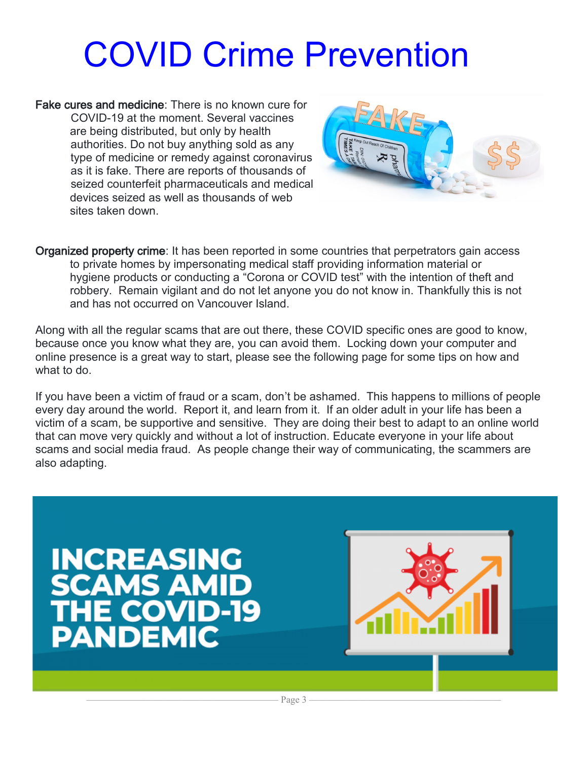# COVID Crime Prevention

Fake cures and medicine: There is no known cure for COVID-19 at the moment. Several vaccines are being distributed, but only by health authorities. Do not buy anything sold as any type of medicine or remedy against coronavirus as it is fake. There are reports of thousands of seized counterfeit pharmaceuticals and medical devices seized as well as thousands of web sites taken down.



Organized property crime: It has been reported in some countries that perpetrators gain access to private homes by impersonating medical staff providing information material or hygiene products or conducting a "Corona or COVID test" with the intention of theft and robbery. Remain vigilant and do not let anyone you do not know in. Thankfully this is not and has not occurred on Vancouver Island.

Along with all the regular scams that are out there, these COVID specific ones are good to know, because once you know what they are, you can avoid them. Locking down your computer and online presence is a great way to start, please see the following page for some tips on how and what to do.

If you have been a victim of fraud or a scam, don't be ashamed. This happens to millions of people every day around the world. Report it, and learn from it. If an older adult in your life has been a victim of a scam, be supportive and sensitive. They are doing their best to adapt to an online world that can move very quickly and without a lot of instruction. Educate everyone in your life about scams and social media fraud. As people change their way of communicating, the scammers are also adapting.

#### **INCREASING<br>SCAMS AMID HE COVID-19 PANDEMIC**



———————————————————— Page 3 ————————————————————